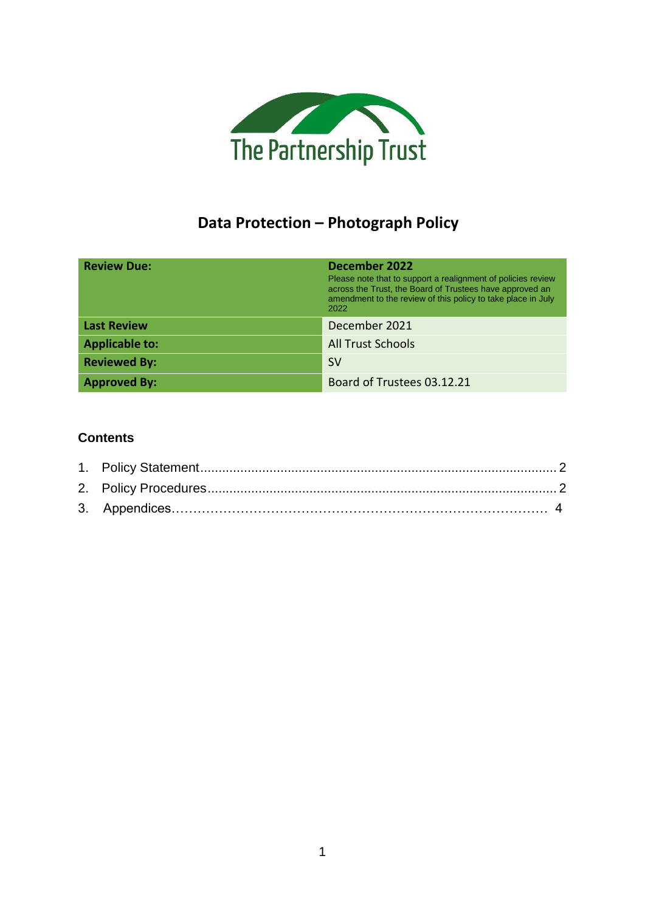

# **Data Protection – Photograph Policy**

| <b>Review Due:</b>    | December 2022<br>Please note that to support a realignment of policies review<br>across the Trust, the Board of Trustees have approved an<br>amendment to the review of this policy to take place in July<br>2022 |
|-----------------------|-------------------------------------------------------------------------------------------------------------------------------------------------------------------------------------------------------------------|
| <b>Last Review</b>    | December 2021                                                                                                                                                                                                     |
| <b>Applicable to:</b> | <b>All Trust Schools</b>                                                                                                                                                                                          |
| <b>Reviewed By:</b>   | <b>SV</b>                                                                                                                                                                                                         |
| <b>Approved By:</b>   | Board of Trustees 03.12.21                                                                                                                                                                                        |

### **Contents**

<span id="page-0-0"></span>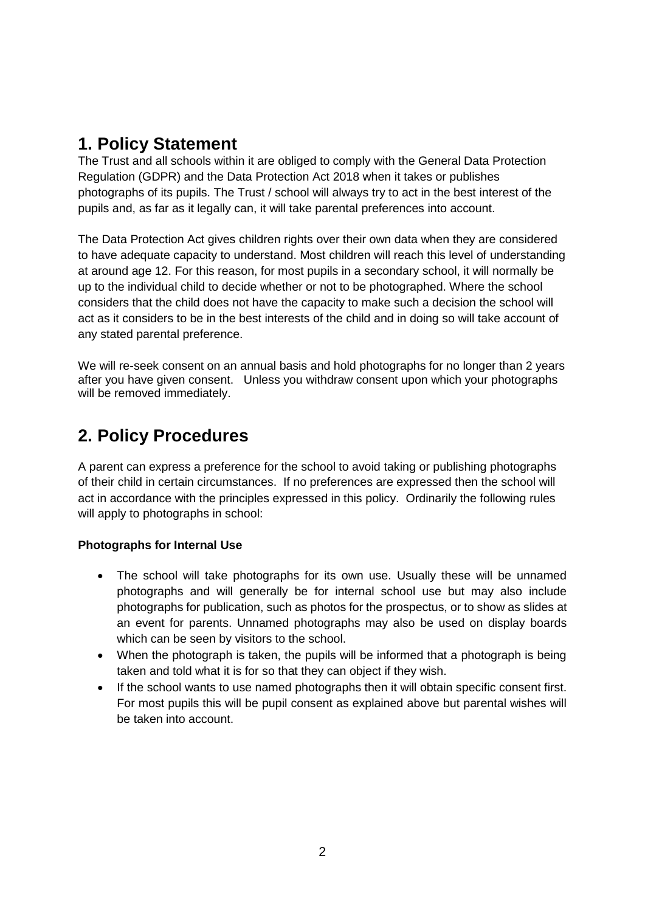### **1. Policy Statement**

The Trust and all schools within it are obliged to comply with the General Data Protection Regulation (GDPR) and the Data Protection Act 2018 when it takes or publishes photographs of its pupils. The Trust / school will always try to act in the best interest of the pupils and, as far as it legally can, it will take parental preferences into account.

The Data Protection Act gives children rights over their own data when they are considered to have adequate capacity to understand. Most children will reach this level of understanding at around age 12. For this reason, for most pupils in a secondary school, it will normally be up to the individual child to decide whether or not to be photographed. Where the school considers that the child does not have the capacity to make such a decision the school will act as it considers to be in the best interests of the child and in doing so will take account of any stated parental preference.

We will re-seek consent on an annual basis and hold photographs for no longer than 2 years after you have given consent. Unless you withdraw consent upon which your photographs will be removed immediately.

# <span id="page-1-0"></span>**2. Policy Procedures**

A parent can express a preference for the school to avoid taking or publishing photographs of their child in certain circumstances. If no preferences are expressed then the school will act in accordance with the principles expressed in this policy. Ordinarily the following rules will apply to photographs in school:

#### **Photographs for Internal Use**

- The school will take photographs for its own use. Usually these will be unnamed photographs and will generally be for internal school use but may also include photographs for publication, such as photos for the prospectus, or to show as slides at an event for parents. Unnamed photographs may also be used on display boards which can be seen by visitors to the school.
- When the photograph is taken, the pupils will be informed that a photograph is being taken and told what it is for so that they can object if they wish.
- If the school wants to use named photographs then it will obtain specific consent first. For most pupils this will be pupil consent as explained above but parental wishes will be taken into account.